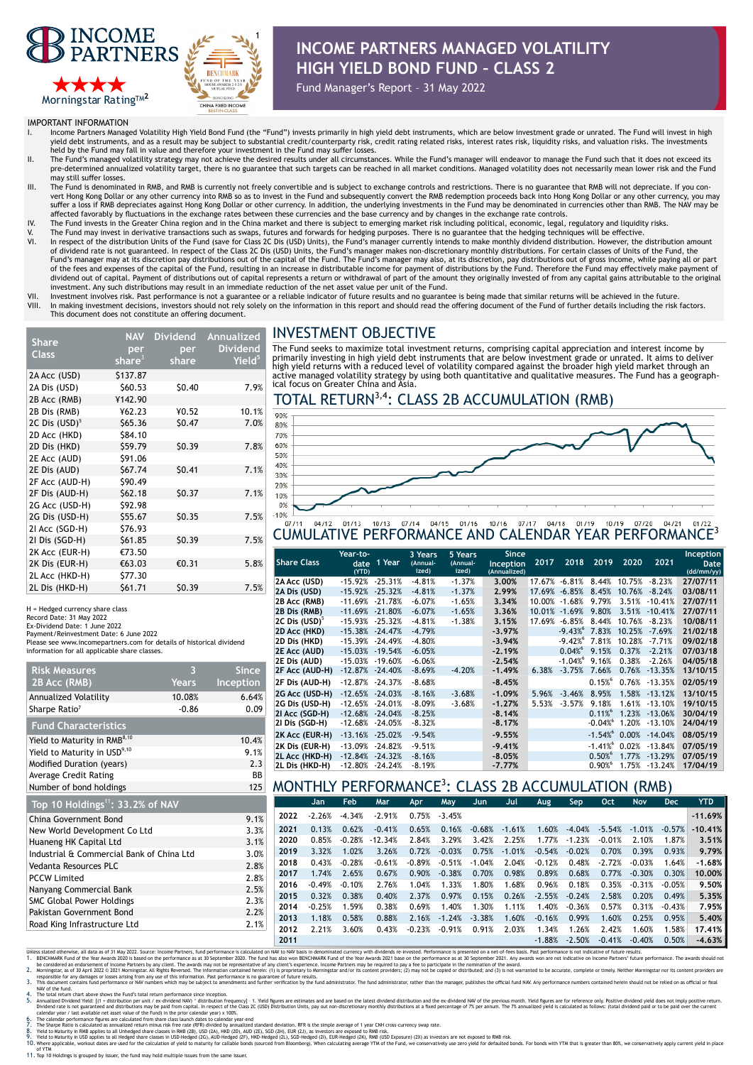



# **INCOME PARTNERS MANAGED VOLATILITY HIGH YIELD BOND FUND – CLASS 2**

Fund Manager's Report – 31 May 2022

IMPORTANT INFORMATION

- Income Partners Managed Volatility High Yield Bond Fund (the "Fund") invests primarily in high yield debt instruments, which are below investment grade or unrated. The Fund will invest in high yield debt instruments, and as a result may be subject to substantial credit/counterparty risk, credit rating related risks, interest rates risk, liquidity risks, and valuation risks. The investments
- held by the Fund may fall in value and therefore your investment in the Fund may suffer losses.<br>II. The Fund's managed volatility strategy may not achieve the desired results under all circumstances. While the Fund's manag pre-determined annualized volatility target, there is no guarantee that such targets can be reached in all market conditions. Managed volatility does not necessarily mean lower risk and the Fund may still suffer losses
- III. The Fund is denominated in RMB, and RMB is currently not freely convertible and is subject to exchange controls and restrictions. There is no guarantee that RMB will not depreciate. If you convert Hong Kong Dollar or any other currency into RMB so as to invest in the Fund and subsequently convert the RMB redemption proceeds back into Hong Kong Dollar or any other currency, you may suffer a loss if RMB depreciates against Hong Kong Dollar or other currency. In addition, the underlying investments in the Fund may be denominated in currencies other than RMB. The NAV may be
- affected favorably by fluctuations in the exchange rates between these currencies and the base currency and by changes in the exchange rate controls.<br>IV. The Fund invests in the Greater China region and in the China market
- V. The Fund may invest in derivative transactions such as swaps, futures and forwards for hedging purposes. There is no guarantee that the hedging techniques will be effective.<br>VI. In respect of the distribution of dividend rate is not guaranteed. In respect of the Class 2C Dis (USD) Units, the Fund's manager makes non-discretionary monthly distributions. For certain classes of Units of the Fund, the<br>Fund's manager may at its disc of the fees and expenses of the capital of the Fund, resulting in an increase in distributable income for payment of distributions by the Fund. Therefore the Fund may effectively make payment of dividend out of capital. Payment of distributions out of capital represents a return or withdrawal of part of the amount they originally invested of from any capital gains attributable to the original investment. Any such distributions may result in an immediate reduction of the net asset value per unit of the Fund.
- VII. Investment involves risk. Past performance is not a guarantee or a reliable indicator of future results and no guarantee is being made that similar returns will be achieved in the future future.<br>VIII. In making invest In making investment decisions, investors should not rely solely on the information in this report and should read the offering document of the Fund of further details including the risk factors. This document does not constitute an offering document.

# INVESTMENT OBJECTIVE

| <b>Share</b>              | NAV       | Dividend | Annualized         |
|---------------------------|-----------|----------|--------------------|
|                           | per       | per      | <b>Dividend</b>    |
| <b>Class</b>              | share $3$ | share    | Yield <sup>5</sup> |
| 2A Acc (USD)              | \$137.87  |          |                    |
| 2A Dis (USD)              | \$60.53   | \$0.40   | 7.9%               |
| 2B Acc (RMB)              | ¥142.90   |          |                    |
| 2B Dis (RMB)              | ¥62.23    | ¥0.52    | 10.1%              |
| 2C Dis (USD) <sup>5</sup> | \$65.36   | \$0.47   | 7.0%               |
| 2D Acc (HKD)              | \$84.10   |          |                    |
| 2D Dis (HKD)              | \$59.79   | \$0.39   | 7.8%               |
| 2E Acc (AUD)              | \$91.06   |          |                    |
| 2E Dis (AUD)              | \$67.74   | \$0.41   | 7.1%               |
| 2F Acc (AUD-H)            | \$90.49   |          |                    |
| 2F Dis (AUD-H)            | \$62.18   | \$0.37   | 7.1%               |
| 2G Acc (USD-H)            | \$92.98   |          |                    |
| 2G Dis (USD-H)            | \$55.67   | \$0.35   | 7.5%               |
| 21 Acc (SGD-H)            | \$76.93   |          |                    |
| 21 Dis (SGD-H)            | \$61.85   | \$0.39   | 7.5%               |
| 2K Acc (EUR-H)            | €73.50    |          |                    |
| 2K Dis (EUR-H)            | €63.03    | €0.31    | 5.8%               |
| 2L Acc (HKD-H)            | \$77.30   |          |                    |
| 2L Dis (HKD-H)            | \$61.71   | \$0.39   | 7.5%               |

H = Hedged currency share class

Record Date: 31 May 2022

Ex-Dividend Date: 1 June 2022 Payment/Reinvestment Date: 6 June 2022

Road King Infrastructure Ltd

Please see www.incomepartners.com for details of historical dividend information for all applicable share classes.

| <b>Risk Measures</b>                         | З            | <b>Since</b> |  |  |  |
|----------------------------------------------|--------------|--------------|--|--|--|
| 2B Acc (RMB)                                 | <b>Years</b> | Inception    |  |  |  |
| Annualized Volatility                        | 10.08%       | 6.64%        |  |  |  |
| Sharpe Ratio <sup>7</sup>                    | $-0.86$      | 0.09         |  |  |  |
| <b>Fund Characteristics</b>                  |              |              |  |  |  |
| Yield to Maturity in RMB <sup>8,10</sup>     |              | 10.4%        |  |  |  |
| Yield to Maturity in USD <sup>9,10</sup>     |              | 9.1%         |  |  |  |
| Modified Duration (years)                    |              |              |  |  |  |
| <b>Average Credit Rating</b>                 |              | <b>BB</b>    |  |  |  |
| Number of bond holdings                      |              | 125          |  |  |  |
| Top 10 Holdings <sup>11</sup> : 33.2% of NAV |              |              |  |  |  |
| China Government Bond                        |              | 9.1%         |  |  |  |

### New World Development Co Ltd Huaneng HK Capital Ltd 3.1% Industrial & Commercial Bank of China Ltd Vedanta Resources PLC PCCW Limited Nanyang Commercial Bank 2.5% SMC Global Power Holdings Pakistan Government Bond

The Fund seeks to maximize total investment returns, comprising capital appreciation and interest income by primarily investing in high yield debt instruments that are below investment grade or unrated. It aims to deliver high yield returns with a reduced level of volatility compared against the broader high yield market through an<br>active managed volatility strategy by using both quantitative and qualitative measures. The Fund has a geograp

## TOTAL RETURN<sup>3,4</sup>: CLASS 2B ACCUMULATION (RMB)



### CUMULATIVE PERFORMANCE AND CALENDAR YEAR PERFORMANCE3

|                           | Year-to-                | 3 Years           | 5 Years           | <b>Since</b>              |        |          |          |        |           | Inception          |
|---------------------------|-------------------------|-------------------|-------------------|---------------------------|--------|----------|----------|--------|-----------|--------------------|
| <b>Share Class</b>        | 1 Year<br>date<br>(YTD) | (Annual-<br>ized) | (Annual-<br>ized) | Inception<br>(Annualized) | 2017   | 2018     | 2019     | 2020   | 2021      | Date<br>(dd/mm/yy) |
| 2A Acc (USD)              | $-25.31%$<br>$-15.92%$  | $-4.81%$          | $-1.37%$          | 3.00%                     | 17.67% | $-6.81%$ | 8.44%    | 10.75% | $-8.23%$  | 27/07/11           |
| 2A Dis (USD)              | $-25.32%$<br>$-15.92%$  | $-4.81%$          | $-1.37%$          | 2.99%                     | 17.69% | $-6.85%$ | 8.45%    | 10.76% | $-8.24%$  | 03/08/11           |
| 2B Acc (RMB)              | $-11.69%$<br>$-21.78%$  | $-6.07%$          | $-1.65%$          | 3.34%                     | 10.00% | $-1.68%$ | 9.79%    | 3.51%  | $-10.41%$ | 27/07/11           |
| 2B Dis (RMB)              | $-11.69\% -21.80\%$     | $-6.07%$          | $-1.65%$          | 3.36%                     | 10.01% | $-1.69%$ | 9.80%    | 3.51%  | $-10.41%$ | 27/07/11           |
| 2C Dis (USD) <sup>3</sup> | $-15.93%$<br>$-25.32%$  | $-4.81%$          | $-1.38%$          | 3.15%                     | 17.69% | $-6.85%$ | 8.44%    | 10.76% | $-8.23%$  | 10/08/11           |
| 2D Acc (HKD)              | $-15.38\% -24.47\%$     | $-4.79%$          |                   | $-3.97%$                  |        | $-9.43%$ | 7.83%    | 10.25% | $-7.69%$  | 21/02/18           |
| 2D Dis (HKD)              | -15.39%<br>$-24.49%$    | $-4.80%$          |                   | $-3.94%$                  |        | $-9.42%$ | 7.81%    | 10.28% | $-7.71%$  | 09/02/18           |
| 2E Acc (AUD)              | $-15.03\% -19.54\%$     | $-6.05%$          |                   | $-2.19%$                  |        | 0.04%    | 9.15%    | 0.37%  | $-2.21%$  | 07/03/18           |
| 2E Dis (AUD)              | -15.03%<br>$-19.60%$    | $-6.06%$          |                   | $-2.54%$                  |        | $-1.04%$ | 9.16%    | 0.38%  | $-2.26%$  | 04/05/18           |
| 2F Acc (AUD-H)            | $-12.87\% -24.40\%$     | $-8.69%$          | $-4.20%$          | $-1.49%$                  | 6.38%  | $-3.75%$ | 7.66%    | 0.76%  | $-13.35%$ | 13/10/15           |
| 2F Dis (AUD-H)            | $-12.87\% -24.37\%$     | $-8.68%$          |                   | $-8.45%$                  |        |          | 0.15%    | 0.76%  | $-13.35%$ | 02/05/19           |
| 2G Acc (USD-H)            | $-12.65\% -24.03\%$     | $-8.16%$          | $-3.68%$          | $-1.09%$                  | 5.96%  | $-3.46%$ | 8.95%    | 1.58%  | $-13.12%$ | 13/10/15           |
| 2G Dis (USD-H)            | $-12.65%$<br>$-24.01%$  | $-8.09%$          | $-3.68%$          | $-1.27%$                  | 5.53%  | $-3.57%$ | 9.18%    | 1.61%  | $-13.10%$ | 19/10/15           |
| 21 Acc (SGD-H)            | $-12.68\% -24.04\%$     | $-8.25%$          |                   | $-8.14%$                  |        |          | $0.11\%$ | 1.23%  | $-13.06%$ | 30/04/19           |
| 21 Dis (SGD-H)            | $-24.05%$<br>$-12.68%$  | $-8.32%$          |                   | $-8,17%$                  |        |          | $-0.04%$ | 1.20%  | $-13.10%$ | 24/04/19           |
| 2K Acc (EUR-H)            | $-13.16\% -25.02\%$     | $-9.54%$          |                   | $-9.55%$                  |        |          | $-1.54%$ | 0.00%  | $-14.04%$ | 08/05/19           |
| 2K Dis (EUR-H)            | $-24.82%$<br>$-13.09\%$ | $-9.51%$          |                   | $-9.41%$                  |        |          | $-1.41%$ | 0.02%  | $-13.84%$ | 07/05/19           |
| 2L Acc (HKD-H)            | $-12.84\% -24.32\%$     | $-8.16%$          |                   | $-8.05%$                  |        |          | 0.50%    | 1.77%  | $-13.29%$ | 07/05/19           |
| 2L Dis (HKD-H)            | $-24.24%$<br>$-12.80%$  | $-8.19%$          |                   | $-7.77%$                  |        |          | 0.90%    | 1.75%  | $-13.24%$ | 17/04/19           |
|                           |                         |                   |                   |                           |        |          |          |        |           |                    |

### MONTHLY PERFORMANCE3 : CLASS 2B ACCUMULATION (RMB)

|      |      | Jan      | Feb      | Mar       | Apr      | <b>May</b>      | Jun      | Jul      | Aug      | Sep      | Oct      | <b>Nov</b> | <b>Dec</b> | <b>YTD</b> |
|------|------|----------|----------|-----------|----------|-----------------|----------|----------|----------|----------|----------|------------|------------|------------|
| 9.1% | 2022 | $-2.26%$ | $-4.34%$ | $-2.91%$  |          | $0.75\%$ -3.45% |          |          |          |          |          |            |            | $-11.69%$  |
| 3.3% | 2021 | 0.13%    | 0.62%    | $-0.41%$  | 0.65%    | 0.16%           | $-0.68%$ | $-1.61%$ | 1.60%    | $-4.04%$ | $-5.54%$ | $-1.01%$   | $-0.57%$   | $-10.41\%$ |
| 3.1% | 2020 | 0.85%    | $-0.28%$ | $-12.34%$ | 2.84%    | 3.29%           | 3.42%    | 2.25%    | 1.77%    | $-1.23%$ | $-0.01%$ | 2.10%      | 1.87%      | 3.51%      |
| 3.0% | 2019 | 3.32%    | 1.02%    | 3.26%     | 0.72%    | $-0.03%$        | 0.75%    | $-1.01%$ | $-0.54%$ | $-0.02%$ | 0.70%    | 0.39%      | 0.93%      | 9.79%      |
| 2.8% | 2018 | 0.43%    | $-0.28%$ | $-0.61%$  | $-0.89%$ | $-0.51%$        | $-1.04%$ | 2.04%    | $-0.12%$ | 0.48%    | $-2.72%$ | $-0.03%$   | 1.64%      | $-1.68%$   |
| 2.8% | 2017 | 1.74%    | 2.65%    | 0.67%     | 0.90%    | $-0.38%$        | 0.70%    | 0.98%    | 0.89%    | 0.68%    | 0.77%    | $-0.30%$   | 0.30%      | 10.00%     |
| 2.5% | 2016 | $-0.49%$ | $-0.10%$ | 2.76%     | 1.04%    | 1.33%           | 1.80%    | 1.68%    | 0.96%    | 0.18%    | 0.35%    | $-0.31%$   | $-0.05%$   | 9.50%      |
| 2.3% | 2015 | 0.32%    | 0.38%    | 0.40%     | 2.37%    | 0.97%           | 0.15%    | 0.26%    | $-2.55%$ | $-0.24%$ | 2.58%    | 0.20%      | 0.49%      | 5.35%      |
| 2.2% | 2014 | $-0.25%$ | 1.59%    | 0.38%     | 0.69%    | 1.40%           | 1.30%    | 1.11%    | 1.40%    | $-0.36%$ | 0.57%    | 0.31%      | $-0.43%$   | 7.95%      |
| 2.1% | 2013 | 1.18%    | 0.58%    | 0.88%     | 2.16%    | $-1.24%$        | $-3.38%$ | 1.60%    | $-0.16%$ | 0.99%    | 1.60%    | 0.25%      | 0.95%      | 5.40%      |
|      | 2012 | 2.21%    | 3.60%    | 0.43%     | $-0.23%$ | $-0.91%$        | 0.91%    | 2.03%    | 1.34%    | 1.26%    | 2.42%    | 1.60%      | 1.58%      | 17.41%     |
|      | 2011 |          |          |           |          |                 |          |          | $-1.88%$ | $-2.50%$ | $-0.41%$ | $-0.40%$   | 0.50%      | $-4.63%$   |

Units stated otherwise, all data as 13 May 2020 Susted on the performance as at 30 September 2020. The fund has also won BENCHMARK Fund of the Year Awards 2021 base on the performance as a 30 September 2021. Any awards won

NW of the fund.<br>4. The total return chart above shows the Fund's total return performance since inception.<br>5. Annualtzed Dividend Well: (I + distributions may be paid from capital. In respect of the Class 2C (USD) Distribu

9. Yield to Maturity in US applies to all Hedged share classes in US-Hedged (2G), AID-Hedged (2F), HiD-Hedged (2D), SCD-Hedged (2D), EUR-Hedged (2N), Bulk and the Calculation of yield to maturity for callable bonds (source

of YTM 11. Top 10 Holdings is grouped by issuer, the fund may hold multiple issues from the same issuer.